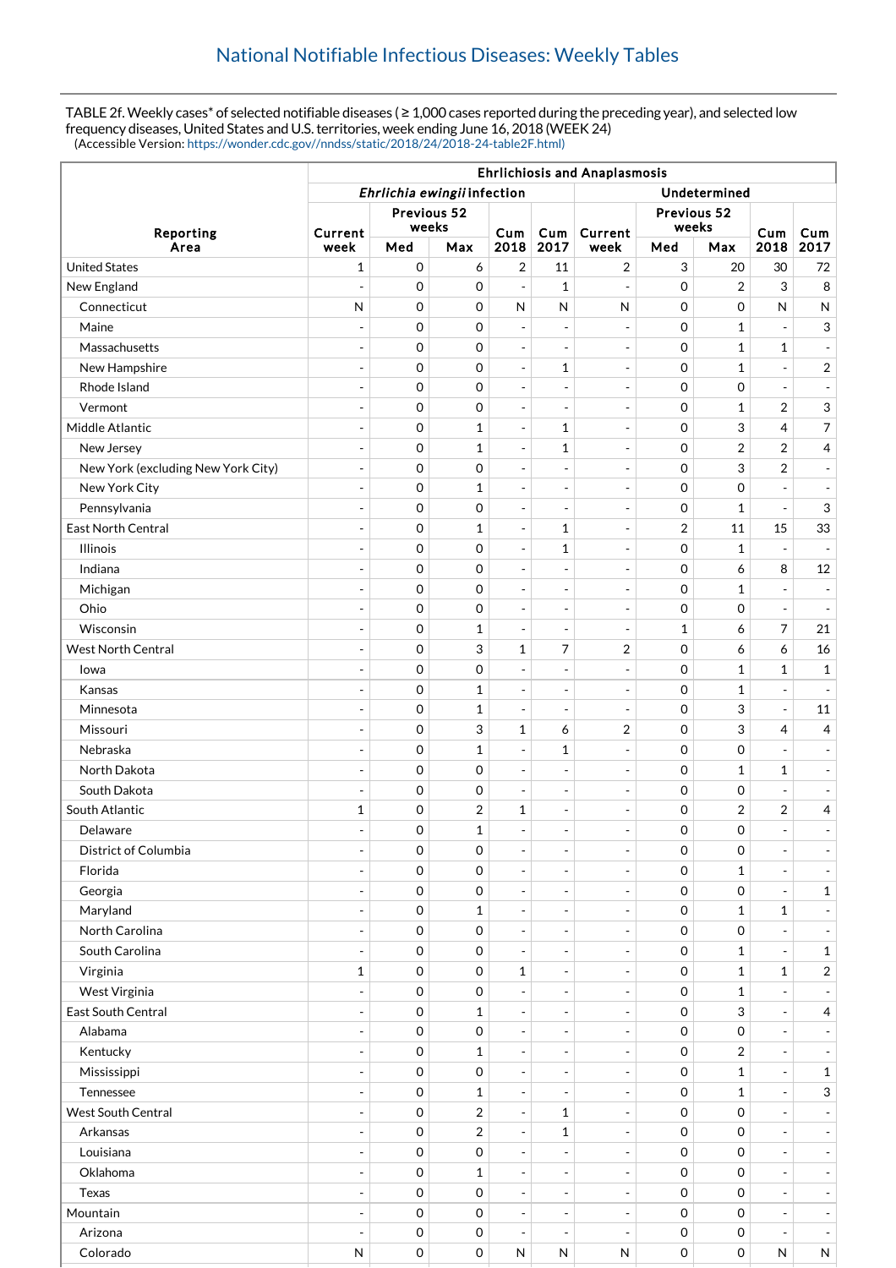TABLE 2f. Weekly cases\* of selected notifiable diseases ( ≥ 1,000 cases reported during the preceding year), and selected low frequency diseases, United States and U.S. territories, week ending June 16, 2018 (WEEK 24) (Accessible Version: [https://wonder.cdc.gov//nndss/static/2018/24/2018-24-table2F.html\)](https://wonder.cdc.gov//nndss/static/2018/24/2018-24-table2F.html)

|                                    | <b>Ehrlichiosis and Anaplasmosis</b>        |             |              |                          |                              |                          |                |                     |                          |                          |
|------------------------------------|---------------------------------------------|-------------|--------------|--------------------------|------------------------------|--------------------------|----------------|---------------------|--------------------------|--------------------------|
|                                    | Ehrlichia ewingii infection<br>Undetermined |             |              |                          |                              |                          |                |                     |                          |                          |
| Reporting<br>Area                  | Previous 52<br>weeks                        |             |              |                          |                              | Previous 52<br>weeks     |                |                     |                          |                          |
|                                    | Current<br>week                             | Med         | Max          | Cum<br>2018              | Cum<br>2017                  | Current<br>week          | Med            | Max                 | Cum<br>2018              | Cum<br>2017              |
| <b>United States</b>               | 1                                           | $\mathbf 0$ | 6            | $\overline{2}$           | 11                           | 2                        | 3              | 20                  | 30                       | 72                       |
| New England                        | $\overline{a}$                              | $\mathbf 0$ | 0            | $\overline{\phantom{a}}$ | $\mathbf{1}$                 | $\sim$                   | 0              | 2                   | 3                        | 8                        |
| Connecticut                        | N                                           | $\mathbf 0$ | 0            | $\mathsf{N}$             | $\mathsf{N}$                 | $\mathsf{N}$             | 0              | $\mathbf 0$         | $\mathsf{N}$             | ${\sf N}$                |
| Maine                              | $\overline{a}$                              | $\mathbf 0$ | 0            | $\overline{\phantom{a}}$ | $\overline{\phantom{a}}$     | $\sim$                   | 0              | $\mathbf{1}$        | $\overline{\phantom{a}}$ | 3                        |
| Massachusetts                      |                                             | $\mathbf 0$ | 0            | $\overline{\phantom{a}}$ |                              | $\overline{\phantom{a}}$ | 0              | $\mathbf{1}$        | $\mathbf{1}$             | $\blacksquare$           |
| New Hampshire                      | ÷,                                          | $\mathbf 0$ | 0            | $\overline{\phantom{a}}$ | $\mathbf{1}$                 | $\overline{\phantom{a}}$ | 0              | $\mathbf{1}$        | $\blacksquare$           | $\overline{2}$           |
| Rhode Island                       |                                             | $\mathbf 0$ | 0            | $\overline{\phantom{a}}$ |                              | ÷,                       | 0              | $\mathbf 0$         | $\overline{a}$           | $\overline{\phantom{a}}$ |
| Vermont                            | $\overline{a}$                              | $\mathbf 0$ | 0            | $\overline{\phantom{a}}$ | $\overline{\phantom{a}}$     | $\overline{\phantom{a}}$ | 0              | $\mathbf{1}$        | $\overline{2}$           | $\mathfrak{S}$           |
| Middle Atlantic                    | $\overline{a}$                              | 0           | $\mathbf{1}$ | $\overline{\phantom{a}}$ | 1                            | ÷,                       | 0              | 3                   | $\overline{4}$           | $\overline{7}$           |
| New Jersey                         | $\overline{a}$                              | $\mathbf 0$ | $\mathbf{1}$ | $\blacksquare$           | 1                            | $\overline{\phantom{a}}$ | 0              | $\overline{2}$      | $\overline{2}$           | $\overline{4}$           |
| New York (excluding New York City) | $\overline{a}$                              | $\mathbf 0$ | 0            | $\overline{\phantom{a}}$ | $\overline{a}$               | $\overline{a}$           | 0              | 3                   | $\overline{2}$           | $\equiv$                 |
| New York City                      | $\overline{\phantom{a}}$                    | $\mathbf 0$ | $\mathbf{1}$ | $\overline{\phantom{a}}$ | $\overline{\phantom{a}}$     | $\overline{\phantom{a}}$ | 0              | $\mathbf 0$         | $\blacksquare$           | $\overline{\phantom{a}}$ |
| Pennsylvania                       | $\overline{\phantom{a}}$                    | 0           | 0            | $\sim$                   | $\overline{\phantom{a}}$     | $\overline{\phantom{a}}$ | 0              | 1                   | $\overline{\phantom{a}}$ | 3                        |
| East North Central                 |                                             | $\mathbf 0$ | $\mathbf{1}$ | $\overline{\phantom{a}}$ | 1                            | $\overline{\phantom{a}}$ | $\overline{2}$ | 11                  | 15                       | 33                       |
| <b>Illinois</b>                    |                                             | $\mathbf 0$ | 0            | $\overline{\phantom{a}}$ | $\mathbf{1}$                 | $\sim$                   | 0              | $\mathbf{1}$        |                          | $\overline{\phantom{a}}$ |
| Indiana                            | $\overline{a}$                              | $\mathbf 0$ | 0            | $\overline{\phantom{a}}$ | $\overline{\phantom{a}}$     | $\overline{\phantom{a}}$ | 0              | 6                   | 8                        | 12                       |
| Michigan                           | ÷,                                          | $\mathbf 0$ | 0            | $\overline{\phantom{a}}$ | $\overline{\phantom{a}}$     | $\overline{\phantom{a}}$ | 0              | 1                   | $\blacksquare$           | $\overline{\phantom{a}}$ |
| Ohio                               |                                             | 0           | 0            | $\overline{\phantom{a}}$ |                              | $\overline{\phantom{a}}$ | 0              | $\mathbf 0$         | $\equiv$                 | $\overline{\phantom{a}}$ |
| Wisconsin                          | $\overline{a}$                              | $\mathbf 0$ | $\mathbf{1}$ | $\overline{\phantom{a}}$ | $\overline{\phantom{a}}$     | $\overline{\phantom{a}}$ | 1              | 6                   | $\overline{7}$           | 21                       |
| <b>West North Central</b>          | $\overline{a}$                              | 0           | 3            | 1                        | 7                            | 2                        | 0              | 6                   | 6                        | 16                       |
| lowa                               | ÷,                                          | 0           | 0            | $\overline{\phantom{a}}$ | $\overline{\phantom{a}}$     | $\overline{\phantom{a}}$ | 0              | $\mathbf{1}$        | $\mathbf{1}$             | $\mathbf{1}$             |
| Kansas                             | $\overline{a}$                              | 0           | $\mathbf{1}$ | $\overline{\phantom{a}}$ | $\overline{a}$               | $\overline{a}$           | 0              | $\mathbf{1}$        | $\overline{\phantom{a}}$ | $\overline{\phantom{a}}$ |
| Minnesota                          | $\overline{a}$                              | $\mathbf 0$ | $\mathbf{1}$ | $\overline{\phantom{a}}$ | $\overline{a}$               | $\overline{\phantom{a}}$ | 0              | 3                   | $\overline{\phantom{a}}$ | 11                       |
| Missouri                           | $\overline{a}$                              | $\mathbf 0$ | 3            | $\mathbf{1}$             | 6                            | 2                        | 0              | 3                   | $\overline{4}$           | $\overline{4}$           |
| Nebraska                           | $\overline{a}$                              | $\mathbf 0$ | $\mathbf{1}$ | $\overline{\phantom{a}}$ | 1                            | $\overline{\phantom{a}}$ | 0              | $\mathbf 0$         | $\overline{\phantom{a}}$ | $\overline{\phantom{a}}$ |
| North Dakota                       | $\overline{a}$                              | $\mathbf 0$ | 0            | $\overline{\phantom{a}}$ | $\overline{a}$               | $\sim$                   | 0              | $\mathbf{1}$        | $\mathbf{1}$             | $\overline{\phantom{a}}$ |
| South Dakota                       |                                             | 0           | 0            | $\overline{\phantom{a}}$ | $\overline{\phantom{a}}$     | $\overline{\phantom{a}}$ | 0              | 0                   |                          | $\blacksquare$           |
| South Atlantic                     | $\mathbf{1}$                                | $\mathbf 0$ | 2            | $\mathbf 1$              | $\overline{\phantom{a}}$     | $\overline{\phantom{a}}$ | 0              | $\overline{2}$      | $\overline{2}$           | $\overline{4}$           |
| Delaware                           | $\overline{a}$                              | $\mathbf 0$ | $\mathbf{1}$ | $\overline{a}$           | $\overline{\phantom{a}}$     | ÷,                       | 0              | 0                   |                          | $\overline{\phantom{a}}$ |
| District of Columbia               | $\overline{\phantom{a}}$                    | $\mathbf 0$ | 0            | $\overline{\phantom{a}}$ | $\overline{\phantom{a}}$     | $\overline{\phantom{a}}$ | 0              | 0                   | $\overline{\phantom{a}}$ | $\overline{\phantom{a}}$ |
| Florida                            |                                             | $\mathbf 0$ | $\mathbf 0$  | $\sim$                   |                              | $\blacksquare$           | 0              | $\mathbf{1}$        | $\equiv$                 | $\blacksquare$           |
| Georgia                            | $\overline{a}$                              | $\mathbf 0$ | 0            | $\overline{\phantom{a}}$ | $\overline{\phantom{a}}$     | $\overline{\phantom{a}}$ | 0              | 0                   | $\overline{\phantom{a}}$ | $\mathbf{1}$             |
| Maryland                           |                                             | 0           | $\mathbf{1}$ | $\overline{\phantom{a}}$ |                              | ÷,                       | 0              | $\mathbf{1}$        | $\mathbf{1}$             | $\overline{\phantom{a}}$ |
| North Carolina                     | $\overline{\phantom{a}}$                    | $\mathbf 0$ | 0            | $\overline{\phantom{a}}$ | $\overline{\phantom{a}}$     | $\overline{\phantom{a}}$ | 0              | 0                   | $\overline{\phantom{a}}$ | $\overline{\phantom{a}}$ |
| South Carolina                     | $\overline{a}$                              | $\mathbf 0$ | 0            | $\overline{\phantom{a}}$ | $\overline{a}$               | $\overline{\phantom{a}}$ | 0              | $\mathbf{1}$        | $\equiv$                 | $\mathbf{1}$             |
| Virginia                           | $\mathbf{1}$                                | $\mathbf 0$ | 0            | 1                        | $\qquad \qquad \blacksquare$ | $\overline{\phantom{a}}$ | 0              | $\mathbf{1}$        | $\mathbf{1}$             | $\overline{a}$           |
| West Virginia                      |                                             | 0           | 0            | $\overline{\phantom{a}}$ | $\overline{\phantom{a}}$     | $\sim$                   | 0              | $\mathbf{1}$        |                          | $\overline{\phantom{a}}$ |
| East South Central                 | $\overline{a}$                              | 0           | $\mathbf{1}$ | $\overline{\phantom{a}}$ | $\overline{\phantom{a}}$     | $\overline{\phantom{a}}$ | 0              | 3                   | $\overline{\phantom{a}}$ | $\overline{4}$           |
| Alabama                            | ÷,                                          | 0           | 0            | $\overline{\phantom{a}}$ | $\overline{\phantom{a}}$     | $\overline{\phantom{a}}$ | 0              | $\mathbf 0$         | $\blacksquare$           | $\overline{\phantom{a}}$ |
| Kentucky                           |                                             | 0           | $\mathbf{1}$ | $\overline{\phantom{a}}$ |                              | $\overline{\phantom{a}}$ | 0              | $\overline{2}$      | $\overline{\phantom{a}}$ | $\overline{\phantom{a}}$ |
| Mississippi                        | $\overline{a}$                              | $\mathbf 0$ | 0            | $\overline{\phantom{a}}$ | $\overline{\phantom{a}}$     | $\overline{\phantom{a}}$ | 0              | $\mathbf 1$         | $\overline{\phantom{a}}$ | $\mathbf{1}$             |
| Tennessee                          |                                             | 0           | $\mathbf{1}$ | $\overline{\phantom{a}}$ | $\overline{\phantom{a}}$     | ÷,                       | 0              | $\mathbf{1}$        | $\overline{a}$           | $\mathbf{3}$             |
| West South Central                 | $\overline{a}$                              | $\mathbf 0$ | 2            | $\overline{\phantom{a}}$ | 1                            | $\overline{\phantom{a}}$ | 0              | $\mathbf 0$         | $\overline{\phantom{a}}$ | $\overline{\phantom{a}}$ |
| Arkansas                           | $\overline{a}$                              | 0           | 2            | $\overline{\phantom{a}}$ | 1                            | $\blacksquare$           | 0              | 0                   | $\equiv$                 | $\blacksquare$           |
| Louisiana                          | $\overline{a}$                              | $\mathbf 0$ | 0            | $\overline{\phantom{a}}$ | $\overline{\phantom{a}}$     | $\overline{\phantom{a}}$ | 0              | $\mathbf 0$         | $\overline{\phantom{a}}$ | $\overline{\phantom{a}}$ |
| Oklahoma                           | $\overline{a}$                              | 0           | $\mathbf{1}$ | $\sim$                   | $\overline{\phantom{a}}$     | $\overline{\phantom{a}}$ | 0              | $\mathsf{O}\xspace$ | $\overline{a}$           | $\overline{\phantom{a}}$ |
| Texas                              | $\overline{\phantom{a}}$                    | $\mathbf 0$ | 0            | $\overline{\phantom{a}}$ | $\overline{\phantom{a}}$     | $\overline{\phantom{a}}$ | 0              | 0                   | $\overline{\phantom{a}}$ | $\frac{1}{2}$            |
| Mountain                           | $\overline{\phantom{a}}$                    | 0           | 0            | $\overline{\phantom{a}}$ | $\overline{\phantom{a}}$     | $\sim$                   | 0              | $\mathbf 0$         | $\overline{\phantom{a}}$ | $\overline{\phantom{a}}$ |
| Arizona                            |                                             | 0           | 0            | $\overline{\phantom{a}}$ |                              |                          | 0              | 0                   |                          | $\overline{\phantom{a}}$ |
| Colorado                           | ${\sf N}$                                   | $\mathbf 0$ | 0            | ${\sf N}$                | ${\sf N}$                    | N                        | 0              | $\mathsf{O}\xspace$ | $\mathsf{N}$             | N                        |
|                                    |                                             |             |              |                          |                              |                          |                |                     |                          |                          |